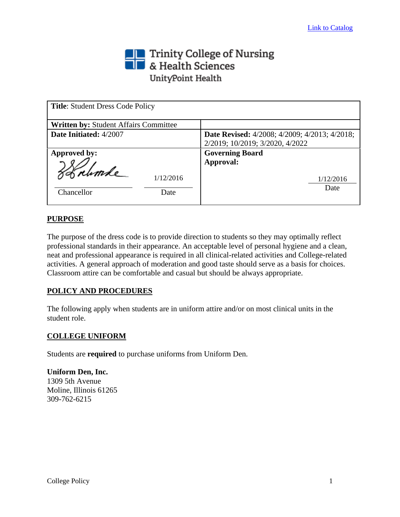# Trinity College of Nursing<br>
Section British Sciences UnityPoint Health

| <b>Title: Student Dress Code Policy</b>         |                                                                                         |
|-------------------------------------------------|-----------------------------------------------------------------------------------------|
| <b>Written by: Student Affairs Committee</b>    |                                                                                         |
| Date Initiated: 4/2007                          | <b>Date Revised:</b> 4/2008; 4/2009; 4/2013; 4/2018;<br>2/2019; 10/2019; 3/2020, 4/2022 |
| Approved by:<br>1/12/2016<br>Chancellor<br>Date | <b>Governing Board</b><br>Approval:<br>1/12/2016<br>Date                                |

# **PURPOSE**

The purpose of the dress code is to provide direction to students so they may optimally reflect professional standards in their appearance. An acceptable level of personal hygiene and a clean, neat and professional appearance is required in all clinical-related activities and College-related activities. A general approach of moderation and good taste should serve as a basis for choices. Classroom attire can be comfortable and casual but should be always appropriate.

# **POLICY AND PROCEDURES**

The following apply when students are in uniform attire and/or on most clinical units in the student role.

# **COLLEGE UNIFORM**

Students are **required** to purchase uniforms from Uniform Den.

**Uniform Den, Inc.** 1309 5th Avenue Moline, Illinois 61265 309-762-6215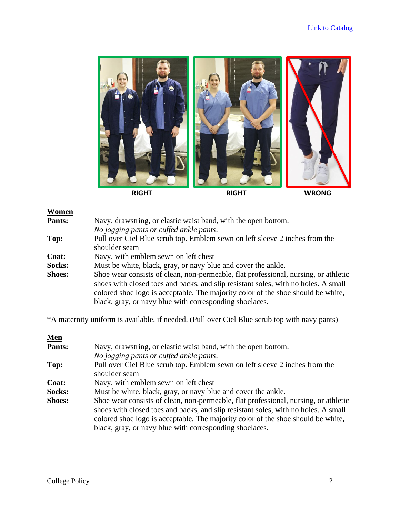

# Women<br>Pants.

| Pants: | Navy, drawstring, or elastic waist band, with the open bottom.              |
|--------|-----------------------------------------------------------------------------|
|        | No jogging pants or cuffed ankle pants.                                     |
| Top:   | Pull over Ciel Blue scrub top. Emblem sewn on left sleeve 2 inches from the |
|        | shoulder seam                                                               |

**Coat:** Navy, with emblem sewn on left chest

**Socks:** Must be white, black, gray, or navy blue and cover the ankle.

**Shoes:** Shoe wear consists of clean, non-permeable, flat professional, nursing, or athletic shoes with closed toes and backs, and slip resistant soles, with no holes. A small colored shoe logo is acceptable. The majority color of the shoe should be white, black, gray, or navy blue with corresponding shoelaces.

\*A maternity uniform is available, if needed. (Pull over Ciel Blue scrub top with navy pants)

| <u>Men</u>    |                                                                                     |
|---------------|-------------------------------------------------------------------------------------|
| Pants:        | Navy, drawstring, or elastic waist band, with the open bottom.                      |
|               | No jogging pants or cuffed ankle pants.                                             |
| Top:          | Pull over Ciel Blue scrub top. Emblem sewn on left sleeve 2 inches from the         |
|               | shoulder seam                                                                       |
| Coat:         | Navy, with emblem sewn on left chest                                                |
| Socks:        | Must be white, black, gray, or navy blue and cover the ankle.                       |
| <b>Shoes:</b> | Shoe wear consists of clean, non-permeable, flat professional, nursing, or athletic |
|               | shoes with closed toes and backs, and slip resistant soles, with no holes. A small  |
|               | colored shoe logo is acceptable. The majority color of the shoe should be white,    |
|               | black, gray, or navy blue with corresponding shoelaces.                             |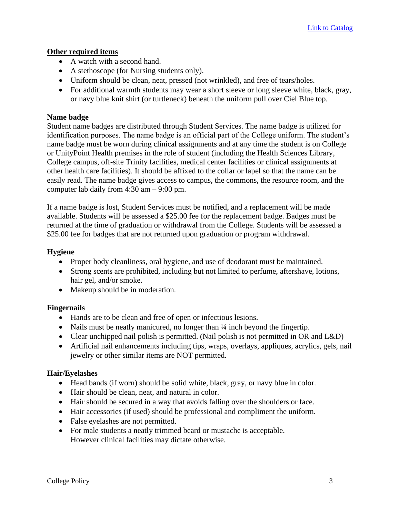#### **Other required items**

- A watch with a second hand.
- A stethoscope (for Nursing students only).
- Uniform should be clean, neat, pressed (not wrinkled), and free of tears/holes.
- For additional warmth students may wear a short sleeve or long sleeve white, black, gray, or navy blue knit shirt (or turtleneck) beneath the uniform pull over Ciel Blue top.

#### **Name badge**

Student name badges are distributed through Student Services. The name badge is utilized for identification purposes. The name badge is an official part of the College uniform. The student's name badge must be worn during clinical assignments and at any time the student is on College or UnityPoint Health premises in the role of student (including the Health Sciences Library, College campus, off-site Trinity facilities, medical center facilities or clinical assignments at other health care facilities). It should be affixed to the collar or lapel so that the name can be easily read. The name badge gives access to campus, the commons, the resource room, and the computer lab daily from 4:30 am – 9:00 pm.

If a name badge is lost, Student Services must be notified, and a replacement will be made available. Students will be assessed a \$25.00 fee for the replacement badge. Badges must be returned at the time of graduation or withdrawal from the College. Students will be assessed a \$25.00 fee for badges that are not returned upon graduation or program withdrawal.

#### **Hygiene**

- Proper body cleanliness, oral hygiene, and use of deodorant must be maintained.
- Strong scents are prohibited, including but not limited to perfume, aftershave, lotions, hair gel, and/or smoke.
- Makeup should be in moderation.

# **Fingernails**

- Hands are to be clean and free of open or infectious lesions.
- Nails must be neatly manicured, no longer than  $\frac{1}{4}$  inch beyond the fingertip.
- Clear unchipped nail polish is permitted. (Nail polish is not permitted in OR and L&D)
- Artificial nail enhancements including tips, wraps, overlays, appliques, acrylics, gels, nail jewelry or other similar items are NOT permitted.

#### **Hair/Eyelashes**

- Head bands (if worn) should be solid white, black, gray, or navy blue in color.
- Hair should be clean, neat, and natural in color.
- Hair should be secured in a way that avoids falling over the shoulders or face.
- Hair accessories (if used) should be professional and compliment the uniform.
- False eyelashes are not permitted.
- For male students a neatly trimmed beard or mustache is acceptable. However clinical facilities may dictate otherwise.